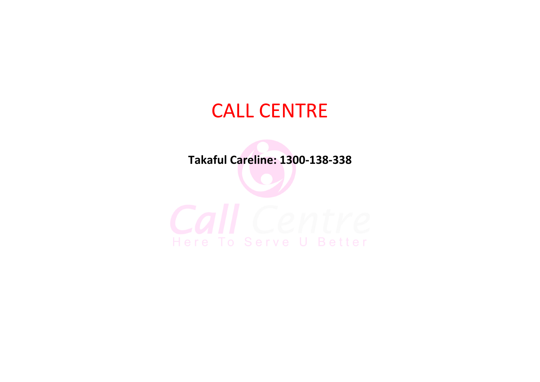# CALL CENTRE

**Takaful Careline: 1300-138-338**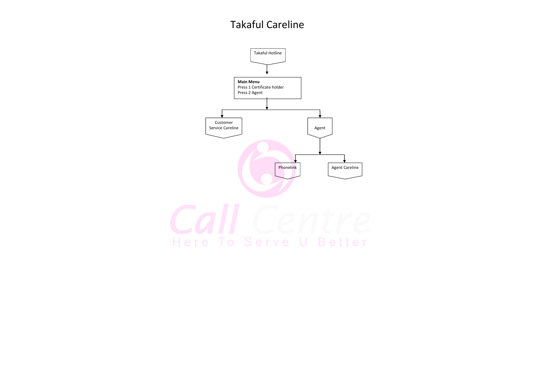

## Takaful Careline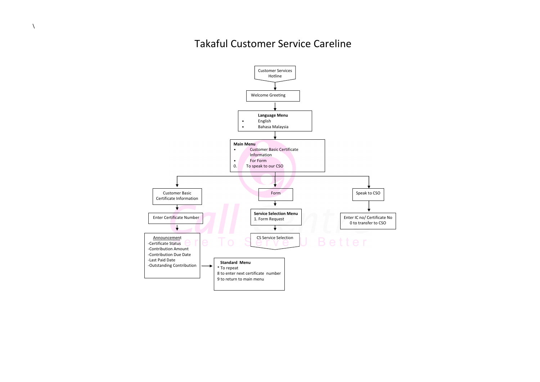

#### Takaful Customer Service Careline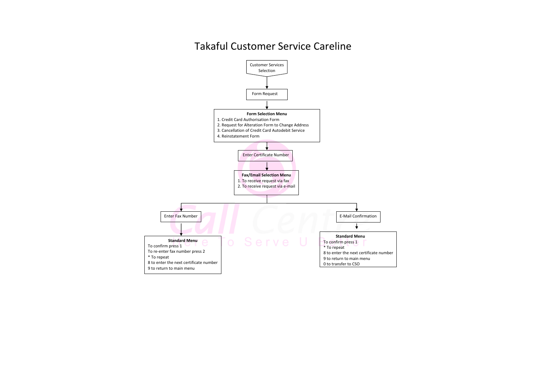

#### Takaful Customer Service Careline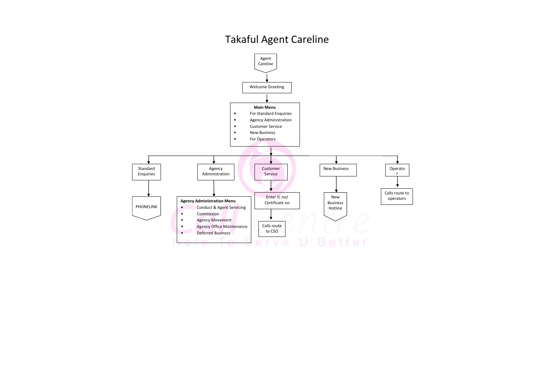

# Takaful Agent Careline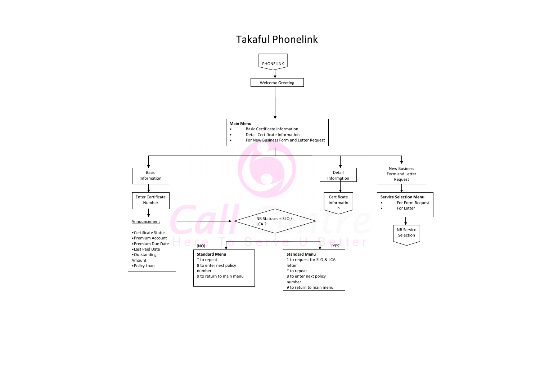

### Takaful Phonelink